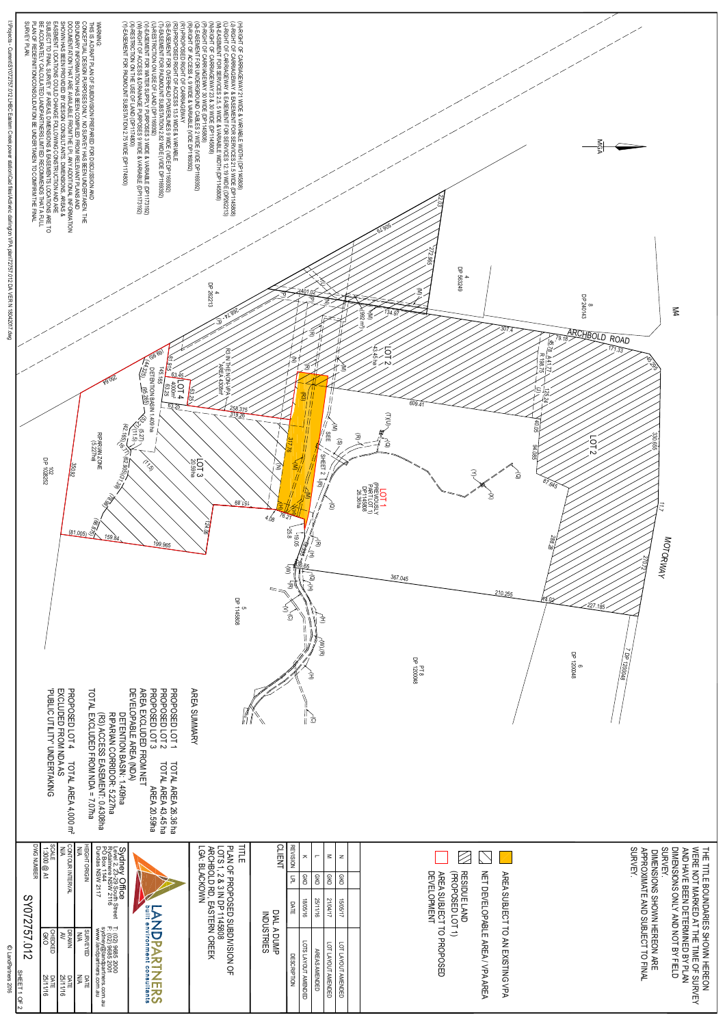

| ြို့ (၇ $\sim$<br>SHEET 1 OF<br>$\frac{50}{9}$                                                                                                                                         |                                   |                                        |                                                                                    |
|----------------------------------------------------------------------------------------------------------------------------------------------------------------------------------------|-----------------------------------|----------------------------------------|------------------------------------------------------------------------------------|
| ၯ<br>$\overline{\mathsf{C}}$<br>22<br><b>25</b><br>$\bigcirc$<br>$\overline{\phantom{0}}$<br>$\mathbf D$<br>$\mathbf{v}$                                                               |                                   |                                        |                                                                                    |
| CHECKED<br>GKO<br>DATE<br>25/11/16<br>DATE<br>25/11/16                                                                                                                                 |                                   | 1:300 @ A1<br>1:300 @ A1<br>DWG NUMBER | <b>KING</b>                                                                        |
| SURVEYED<br>MA<br>NA<br>SURVEYED                                                                                                                                                       | <b>TOUR INTE</b><br>চ             | ≀≲ ≋'                                  | <b>AREA</b><br>$4,000~{\rm m}^2$                                                   |
| thers.com.<br>S.com.au<br>DATE<br>N/A<br>N/A                                                                                                                                           |                                   | HEIGHT ORIGIN<br>N/A                   |                                                                                    |
| Sydney Office<br>Level 2, 23-29 South Street<br>Rydalmere NSW 2116<br>PO Box 1144<br>Dundas NSW 2117<br>T: (02) 9685 2000<br>F: (02) 9685 2001<br>sydney@landpartn<br>www.landpartners |                                   |                                        | РÁ<br>R. 5 227ha<br>AENT: 0.4308ha<br>1 409ha<br>R: 5 227<br>L<br>eu <sub>20</sub> |
| assa 1<br>Ali<br>NDPART<br>$\begin{array}{c} 0 \\ 0 \\ 1 \end{array}$<br>$\omega$<br>ERS                                                                                               |                                   |                                        | $\ddot{\mathbf{u}}$<br>L AREA 26.36 ha<br>L AREA 43.45 ha<br>AREA 20.59ha          |
| PLAN OF PROPOSED SUBDIVISION O<br>LOTS 1, 2 & 3 IN DP 1145808<br>ARCHBOLD RD, EASTERN CREEK<br>LGA: BLACKOWN<br>$Q_{\overline{L}}$<br>.                                                |                                   | 三三                                     |                                                                                    |
| DIAL A DUMP<br>INDUSTRIES<br>DUMP.                                                                                                                                                     |                                   | <b>CLIENT</b>                          |                                                                                    |
| DATE<br><b>DESCRIP</b><br>NOIL-                                                                                                                                                        | $F_{\overline{C}}$                | <b>REVISION</b>                        |                                                                                    |
| 18/05/16<br>LOTS LAYOUT<br><b>AMENDED</b>                                                                                                                                              | <b>GKO</b>                        | $\overline{\mathbf{z}}$                |                                                                                    |
| 25/11/16<br><b>AREAS AMENDED</b>                                                                                                                                                       | <b>GKO</b>                        | $\blacksquare$                         |                                                                                    |
| 21/04/17<br>15/05/17<br>LOT LAYOUT<br>LOT LAYOUT<br><b>AMENDED</b><br><b>AMENDED</b>                                                                                                   | GKO<br><b>OKO</b>                 | $\leq$<br>$\mathsf{z}$                 |                                                                                    |
|                                                                                                                                                                                        |                                   |                                        |                                                                                    |
|                                                                                                                                                                                        |                                   |                                        |                                                                                    |
| AREA SUBJECT<br>DEVELOPMENT<br>RESIDUE LAND<br>(PROPOSED LOT<br>═<br>TO PROPOSED<br>$\Rightarrow$                                                                                      |                                   |                                        |                                                                                    |
| <b>DEVELOPABLE AREA</b><br>$\overline{\phantom{0}}$<br>$\lessapprox$<br>$\blacktriangleright$<br><b>AREA</b>                                                                           | $\Xi$<br>$\overline{\phantom{0}}$ |                                        |                                                                                    |
| SUBJECT<br>$\overline{C}$<br>AN EXIS<br><b>TING</b><br>$\frac{1}{2}$<br>$\blacktriangleright$                                                                                          | <b>AREA</b>                       |                                        |                                                                                    |
|                                                                                                                                                                                        |                                   |                                        |                                                                                    |
| SURVEY.<br>DIMENSIONS SHOWN HEREON ARE<br>TO FIN<br>$\geq$                                                                                                                             | <b>APPROXIMATE A<br/>SURVEY.</b>  |                                        |                                                                                    |
| THE TITLE BOUNDARIES SHOWN HERCN<br>WERE NOT MARKED AT THE TIME OF SURVE<br>AND HAVE BEEN DETERMINED BY PLAN<br>AND HAVE BEEN DETERMINED BY FIELD                                      |                                   |                                        |                                                                                    |
|                                                                                                                                                                                        |                                   |                                        |                                                                                    |
|                                                                                                                                                                                        |                                   |                                        |                                                                                    |
|                                                                                                                                                                                        |                                   |                                        |                                                                                    |